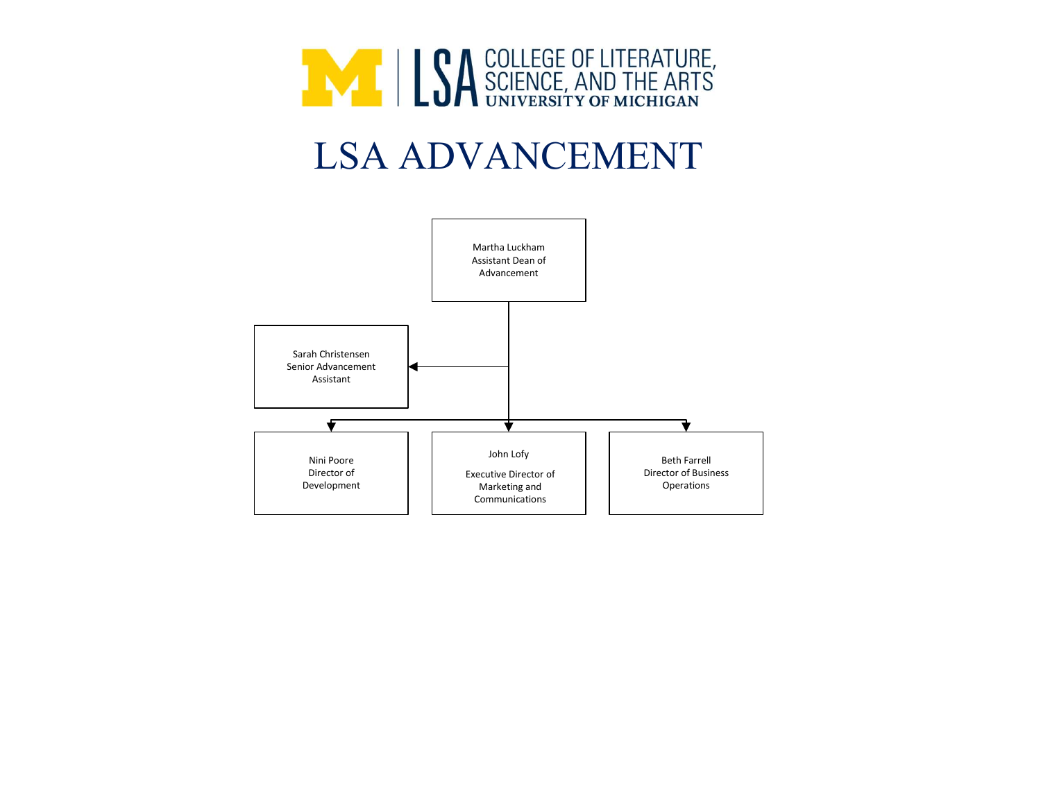

## LSA ADVANCEMENT

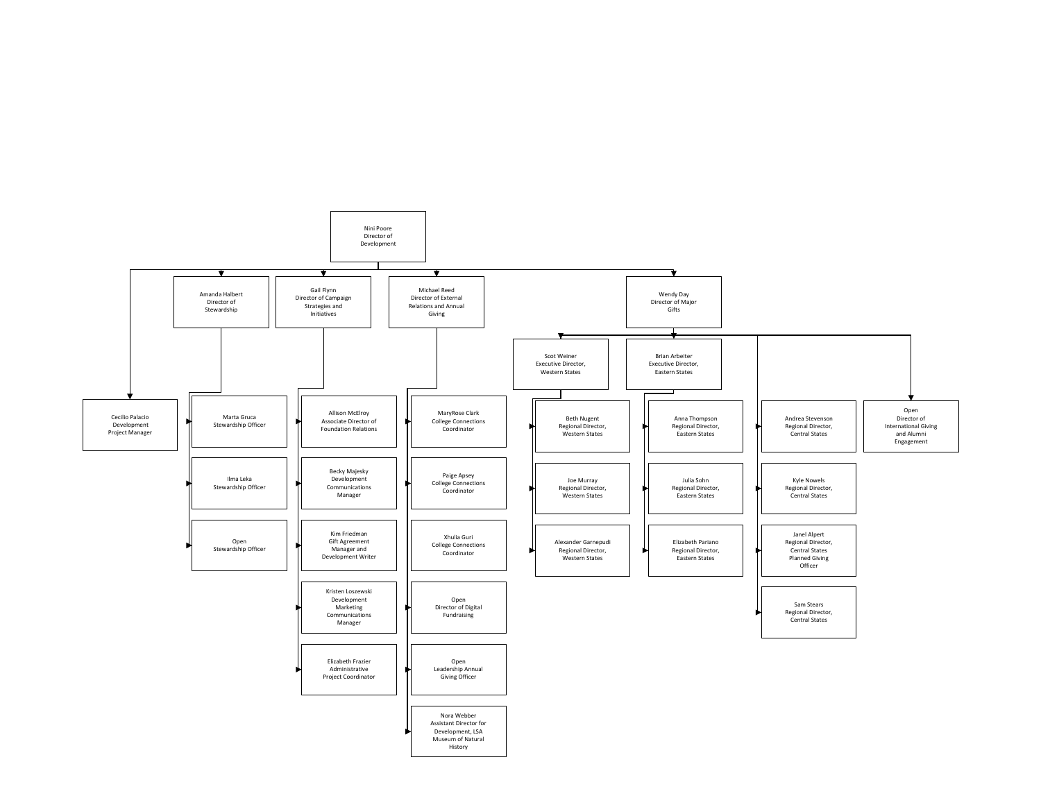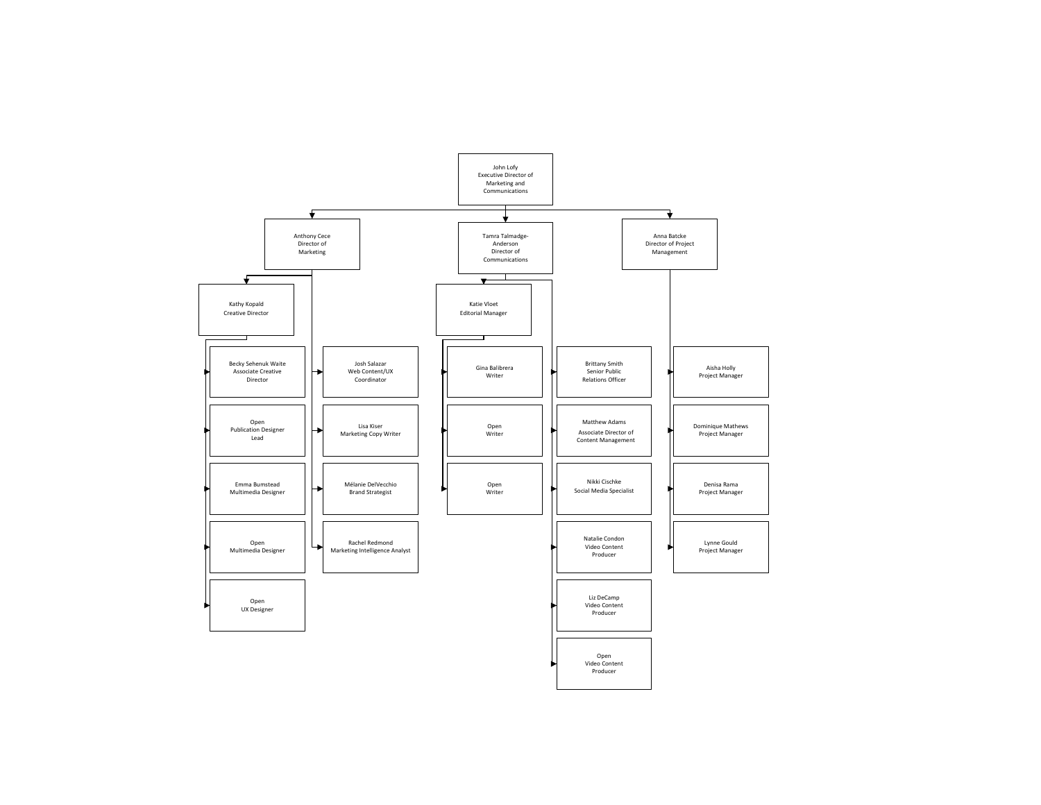